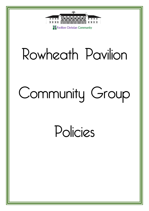

## Rowheath Pavilion

# Community Group

### Policies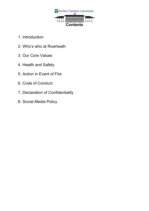

- 1. Introduction
- 2. Who's who at Rowheath
- 3. Our Core Values
- 4. Health and Safety
- 5. Action in Event of Fire
- 6. Code of Conduct
- 7. Declaration of Confidentiality
- 8. Social Media Policy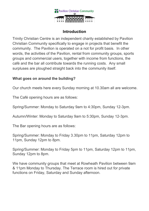

#### **Introduction**

Trinity Christian Centre is an independent charity established by Pavilion Christian Community specifically to engage in projects that benefit the community. The Pavilion is operated on a not for profit basis. In other words, the activities of the Pavilion, rental from community groups, sports groups and commercial users, together with income from functions, the café and the bar all contribute towards the running costs. Any small surpluses are ploughed straight back into the community itself.

#### **What goes on around the building?**

Our church meets here every Sunday morning at 10.30am all are welcome.

The Café opening hours are as follows:

Spring/Summer: Monday to Saturday 9am to 4:30pm, Sunday 12-3pm.

Autumn/Winter: Monday to Saturday 9am to 5:30pm, Sunday 12-3pm.

The Bar opening hours are as follows:

Spring/Summer: Monday to Friday 3.30pm to 11pm, Saturday 12pm to 11pm, Sunday 12pm to 8pm.

Spring/Summer: Monday to Friday 5pm to 11pm, Saturday 12pm to 11pm, Sunday 12pm to 8pm.

We have community groups that meet at Rowheath Pavilion between 9am & 11pm Monday to Thursday. The Terrace room is hired out for private functions on Friday, Saturday and Sunday afternoon.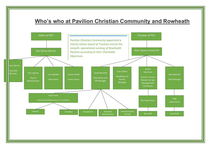### **Who's who at Pavilion Christian Community and Rowheath**

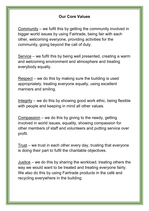#### **Our Core Values**

Community – we fulfil this by getting the community involved in bigger world issues by using Fairtrade, being fair with each other, welcoming everyone, providing activities for the community, going beyond the call of duty.

Service – we fulfil this by being well presented, creating a warm and welcoming environment and atmosphere and treating everybody equally.

Respect – we do this by making sure the building is used appropriately, treating everyone equally, using excellent manners and smiling.

Integrity – we do this by showing good work ethic, being flexible with people and keeping in mind all other values.

Compassion – we do this by giving to the needy, getting involved in world issues, equality, showing compassion for other members of staff and volunteers and putting service over profit.

Trust – we trust in each other every day, trusting that everyone is doing their part to fulfil the charitable objectives.

Justice – we do this by sharing the workload, treating others the way we would want to be treated and treating everyone fairly. We also do this by using Fairtrade products in the café and recycling everywhere in the building.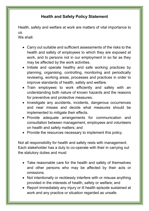#### **Health and Safety Policy Statement**

Health, safety and welfare at work are matters of vital importance to us.

We shall:

- Carry out suitable and sufficient assessments of the risks to the health and safety of employees to which they are exposed at work, and to persons not in our employment in so far as they may be affected by the work activities.
- Initiate and operate healthy and safe working practices by planning, organising, controlling, monitoring and periodically reviewing, working areas, processes and practices in order to improve standards of health, safety and welfare.
- Train employees to work efficiently and safely with an understanding both nature of known hazards and the reasons for preventive and protective measures.
- Investigate any accidents, incidents, dangerous occurrences and near misses and decide what measures should be implemented to mitigate their effects.
- Provide adequate arrangements for communication and consultation between management, employees and volunteers on health and safety matters; and
- Provide the resources necessary to implement this policy.

Not all responsibility for health and safety rests with management. Each stakeholder has a duty to co-operate with their in carrying out the statutory duties and must:

- Take reasonable care for the health and safety of themselves and other persons who may be affected by their acts or omissions.
- Not intentionally or recklessly interfere with or misuse anything provided in the interests of health, safety or welfare; and
- Report immediately any injury or ill health episode sustained at work and any practice or situation regarded as unsafe.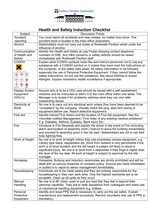

#### **Health and Safety Induction Checklist**

| Subject                                                                                                                                                                                                                                                                                                                                                           | <b>Discussion Points</b>                                                                                                                 |
|-------------------------------------------------------------------------------------------------------------------------------------------------------------------------------------------------------------------------------------------------------------------------------------------------------------------------------------------------------------------|------------------------------------------------------------------------------------------------------------------------------------------|
| Accident                                                                                                                                                                                                                                                                                                                                                          | You must report all accidents and near misses, no matter how minor. The                                                                  |
| reporting                                                                                                                                                                                                                                                                                                                                                         | accident book is located in the main office downstairs.                                                                                  |
| Alcohol                                                                                                                                                                                                                                                                                                                                                           | Stakeholders must not carry out duties at Rowheath Pavilion whilst under the                                                             |
|                                                                                                                                                                                                                                                                                                                                                                   | influence of alcohol.                                                                                                                    |
| Communication                                                                                                                                                                                                                                                                                                                                                     | Identify the Health and Safety at Law Poster showing contact telephone                                                                   |
| of Health and                                                                                                                                                                                                                                                                                                                                                     | numbers of HSE. Any H&S concerns or safety defects should be raised                                                                      |
| Safety                                                                                                                                                                                                                                                                                                                                                            | immediately with Rowheath Pavilion staff.                                                                                                |
| <b>COSHH</b>                                                                                                                                                                                                                                                                                                                                                      | Explain what COSHH symbols looks like and instruct personnel not to use any                                                              |
|                                                                                                                                                                                                                                                                                                                                                                   | substance with a COSHH symbol on it unless they have read the instructions on                                                            |
|                                                                                                                                                                                                                                                                                                                                                                   | the container, or the safety data sheet. All safety information to be followed,                                                          |
|                                                                                                                                                                                                                                                                                                                                                                   | especially the use of Personal Protective Equipment. If they cannot follow the                                                           |
| $\bigotimes$<br>◈<br>$\Diamond$                                                                                                                                                                                                                                                                                                                                   | safety instructions, do not use the substance. Ask about Asthma or known                                                                 |
| $\Diamond$<br>$\begin{picture}(120,15) \put(0,0){\line(1,0){15}} \put(15,0){\line(1,0){15}} \put(15,0){\line(1,0){15}} \put(15,0){\line(1,0){15}} \put(15,0){\line(1,0){15}} \put(15,0){\line(1,0){15}} \put(15,0){\line(1,0){15}} \put(15,0){\line(1,0){15}} \put(15,0){\line(1,0){15}} \put(15,0){\line(1,0){15}} \put(15,0){\line(1,0){15}} \put(15,0){\line($ | Allergies. Explain mandatory health surveillance if appropriate.                                                                         |
| $\diamond$                                                                                                                                                                                                                                                                                                                                                        |                                                                                                                                          |
| ♦<br>♦<br>itar - Lindvirum<br>Nos featu talent<br>No linh ritiri t                                                                                                                                                                                                                                                                                                |                                                                                                                                          |
| <b>Display Screen</b>                                                                                                                                                                                                                                                                                                                                             | Anyone who is to be a VDU user should be issued with a self-assessment                                                                   |
| Equipment                                                                                                                                                                                                                                                                                                                                                         | checklist and be instructed to return it to the main office within one week. The                                                         |
| (VDU's)                                                                                                                                                                                                                                                                                                                                                           | Manager is to review it for problems, address what they can and refer                                                                    |
|                                                                                                                                                                                                                                                                                                                                                                   | outstanding issues.                                                                                                                      |
| Electricity at                                                                                                                                                                                                                                                                                                                                                    | No one is to carry out any electrical work unless they have been deemed to be                                                            |
| <b>Work</b>                                                                                                                                                                                                                                                                                                                                                       | "competent" by the company. Visually check the plug, lead and casing of                                                                  |
|                                                                                                                                                                                                                                                                                                                                                                   | equipment before use. Report defective equipment.                                                                                        |
| <b>First Aid</b>                                                                                                                                                                                                                                                                                                                                                  | Identify trained First Aiders and the location of First Aid equipment. Has the                                                           |
|                                                                                                                                                                                                                                                                                                                                                                   | Volunteer notified Management / First Aider of any existing medical problems?                                                            |
|                                                                                                                                                                                                                                                                                                                                                                   | E.g. Diabetes, Asthma, Epilepsy, Back injury Etc.                                                                                        |
| Fire                                                                                                                                                                                                                                                                                                                                                              | Introduce to Fire Stewards and explain the action in the event of Fire (including                                                        |
|                                                                                                                                                                                                                                                                                                                                                                   | alarm and location of assembly point.) Instruct to leave the building immediately                                                        |
|                                                                                                                                                                                                                                                                                                                                                                   | and proceed to assembly point in the car park. Stakeholders are not to risk their                                                        |
|                                                                                                                                                                                                                                                                                                                                                                   | lives fighting fires.                                                                                                                    |
| Work at Height                                                                                                                                                                                                                                                                                                                                                    | No one is to work at height unless they use proprietary access equipment, e.g.                                                           |
|                                                                                                                                                                                                                                                                                                                                                                   | Library type steps, stepladders etc. Work from ladders is only permissible if the                                                        |
|                                                                                                                                                                                                                                                                                                                                                                   | work is of short duration and the fall height is judged not likely to result in                                                          |
|                                                                                                                                                                                                                                                                                                                                                                   | significant injury. No one is to work from a stepladder if their thigh is higher than                                                    |
|                                                                                                                                                                                                                                                                                                                                                                   | the level of the top step. All work at height is subject to approval by the site                                                         |
|                                                                                                                                                                                                                                                                                                                                                                   | manager.                                                                                                                                 |
| Horseplay                                                                                                                                                                                                                                                                                                                                                         | Horseplay, Bullying and Induction ceremonies are strictly prohibited and will be                                                         |
|                                                                                                                                                                                                                                                                                                                                                                   | dealt with as serious breaches of company policy. Anyone who feels intimidated                                                           |
| Housekeeping                                                                                                                                                                                                                                                                                                                                                      | or bullied is to report to senior management immediately.<br>Individuals are to be made aware that they are entirely responsible for the |
|                                                                                                                                                                                                                                                                                                                                                                   | housekeeping in their own work area. Only the highest standards are to be                                                                |
|                                                                                                                                                                                                                                                                                                                                                                   | accepted. Clean up all spills as they occur.                                                                                             |
| Manual                                                                                                                                                                                                                                                                                                                                                            | No one is to lift, lower, push or pull any load that they feel is beyond their                                                           |
| Handling                                                                                                                                                                                                                                                                                                                                                          | personal capability. They are to seek assistance from colleagues and make use                                                            |
|                                                                                                                                                                                                                                                                                                                                                                   | of mechanical handling equipment, e.g. trolleys.                                                                                         |
| Personal                                                                                                                                                                                                                                                                                                                                                          | Identify and issue PPE that is necessary to carry out the job safely. Explain                                                            |
| Protective                                                                                                                                                                                                                                                                                                                                                        | maintenance and replacement procedure. Remind volunteers that use of PPE is                                                              |
| Equipment                                                                                                                                                                                                                                                                                                                                                         | mandatory.                                                                                                                               |
|                                                                                                                                                                                                                                                                                                                                                                   |                                                                                                                                          |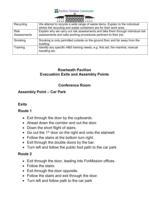**The Pavilion Christian Community** 

|                                                             | <b>1801 1801 1801 1801 1801 180</b><br>188 188                                                                        |  |
|-------------------------------------------------------------|-----------------------------------------------------------------------------------------------------------------------|--|
| $\overline{u}$ $\overline{u}$ $\overline{u}$ $\overline{u}$ | <b>A SHOW HORSE ROOM DOWN ROOM IS AND A SHOW IS A SHOP OF THE UPPER TO A SHOP OF THE UPPER TO A SHOP OF THE UPPER</b> |  |
|                                                             | <b>1111 AAAAAAA</b> 1111                                                                                              |  |
|                                                             |                                                                                                                       |  |
| e attempt to recycle a wide range of waste items. Ex        |                                                                                                                       |  |

| Recycling   | We attempt to recycle a wide range of waste items. Explain to the individual                    |
|-------------|-------------------------------------------------------------------------------------------------|
|             | where the recycling and waste containers are for their work area.                               |
| <b>Risk</b> | Explain why we carry out risk assessments and take them through individual risk                 |
| Assessments | assessments and safe working procedures pertinent to their job.                                 |
| Smoking     | Smoking is only permitted outside on the ground floor and far away from the<br>building.        |
| Training    | Identify any specific H&S training needs, e.g. first aid, fire marshal, manual<br>handling etc. |

#### **Rowheath Pavilion Evacuation Exits and Assembly Points**

#### **Conference Room**

#### **Assembly Point – Car Park**

#### **Exits**

#### **Route 1**

- $\bullet$  Exit through the door by the cupboards.
- Ahead down the corridor and out the door.
- Down the short flight of stairs.
- $\bullet$  Go out the 1<sup>st</sup> door on the right and onto the stairwell.
- Follow the stairs at the bottom turn right.
- $\bullet$  Exit through the double doors by the bar.
- Turn left and follow the public foot path to the car park

#### **Route 2**

- Exit through the door, leading into ForMission offices.
- Follow the stairs.
- $\bullet$  Exit through the door opposite.
- Follow the stairs and exit through the door.
- Turn left and follow path to the car park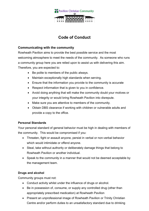

#### **Code of Conduct**

#### **Communicating with the community**

Rowheath Pavilion aims to provide the best possible service and the most welcoming atmosphere to meet the needs of the community. As someone who runs a community group here you are relied upon to assist us with delivering this aim. Therefore, you are expected to:

- Be polite to members of the public always.
- Maintain exceptionally high standards when serving.
- Ensure that the information you provide to the community is accurate
- Respect information that is given to you in confidence.
- Avoid doing anything that will make the community doubt your motives or your integrity or would bring Rowheath Pavilion into disrepute.
- Make sure you are attentive to members of the community.
- Obtain DBS clearance if working with children or vulnerable adults and provide a copy to the office.

#### **Personal Standards**

Your personal standard of general behavior must be high in dealing with members of the community. This would be compromised if you:

- Threaten, fight or assault anyone, persist in verbal or non-verbal behavior which would intimidate or offend anyone.
- Steal, take without authority or deliberately damage things that belong to Rowheath Pavilion or another individual.
- Speak to the community in a manner that would not be deemed acceptable by the management team.

#### **Drugs and alcohol**

Community groups must not:

- Conduct activity whilst under the influence of drugs or alcohol.
- Be in possession of, consume, or supply any controlled drug (other than appropriately prescribed medication) at Rowheath Pavilion
- Present an unprofessional image of Rowheath Pavilion or Trinity Christian Centre and/or perform duties to an unsatisfactory standard due to drinking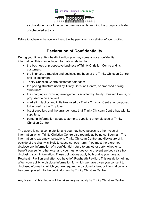

alcohol during your time on the premises whilst running the group or outside of scheduled activity.

Failure to adhere to the above will result in the permanent cancellation of your booking.

#### **Declaration of Confidentiality**

During your time at Rowheath Pavilion you may come across confidential information. This may include information relating to:

- the business or prospective business of Trinity Christian Centre and its customers;
- the finances, strategies and business methods of the Trinity Christian Centre and its customers;
- Trinity Christian Centre customer database;
- the pricing structure used by Trinity Christian Centre, or proposed pricing structures;
- the charging or invoicing arrangements adopted by Trinity Christian Centre, or proposed to be adopted;
- marketing tactics and initiatives used by Trinity Christian Centre, or proposed to be used by the Employer;
- list of suppliers and the arrangements that Trinity Christian Centre has with its suppliers;
- personal information about customers, suppliers or employees of Trinity Christian Centre.

The above is not a complete list and you may have access to other types of information which Trinity Christian Centre also regards as being confidential. The information is extremely valuable to Trinity Christian Centre and disclosure of it outside of the charity is likely to cause serious harm. You must therefore not disclose any information of a confidential nature to any other party, whether to benefit yourself or otherwise, and you must endeavor to prevent anybody else from disclosing such information. These obligations apply both during your time at Rowheath Pavilion and after you have left Rowheath Pavilion. This restriction will not affect your ability to disclose information for which we have given you consent to disclose, information which you are required to disclose by law, or information which has been placed into the public domain by Trinity Christian Centre.

Any breach of this clause will be taken very seriously by Trinity Christian Centre.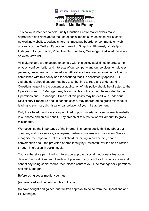

This policy is intended to help Trinity Christian Centre stakeholders make appropriate decisions about the use of social media such as blogs, wikis, social networking websites, podcasts, forums, message boards, or comments on webarticles, such as Twitter, Facebook, LinkedIn, Snapchat, Pinterest, WhatsApp, Instagram, Hinge, Secret, Vine, Tumbler, TapTalk, Messenger, OkCupid this is not an exhaustive list.

All stakeholders are expected to comply with this policy at all times to protect the privacy, confidentiality, and interests of our company and our services, employees, partners, customers, and competitors. All stakeholders are responsible for their own compliance with this policy and for ensuring that it is consistently applied. All stakeholders should ensure that they take the time to read and understand it. Questions regarding the content or application of this policy should be directed to the Operations and HR Manager. Any breach of this policy should be reported to the Operations and HR Manager. Breach of this policy may be dealt with under our Disciplinary Procedure and, in serious cases, may be treated as gross misconduct leading to summary dismissal or cancellation of your hire agreement.

Only the site administrators are permitted to post material on a social media website in our name and on our behalf. Any breach of this restriction will amount to gross misconduct.

We recognise the importance of the internet in shaping public thinking about our company and our services, employees, partners, trustees and customers. We also recognise the importance of our stakeholders joining in and helping shape conversation about the provision offered locally by Rowheath Pavilion and direction through interaction in social media.

You are therefore permitted to interact on approved social media websites about developments at Rowheath Pavilion. If you are in any doubt as to what you can and cannot say using social media, then please contact your Line Manager or Operations and HR Manager.

Before using social media, you must:

(a) have read and understood this policy; and

(b) have sought and gained prior written approval to do so from the Operations and HR Manager.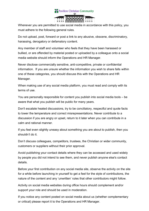

Whenever you are permitted to use social media in accordance with this policy, you must adhere to the following general rules.

Do not upload, post, forward or post a link to any abusive, obscene, discriminatory, harassing, derogatory or defamatory content.

Any member of staff and volunteer who feels that they have been harassed or bullied, or are offended by material posted or uploaded by a colleague onto a social media website should inform the Operations and HR Manager.

Never disclose commercially sensitive, anti-competitive, private or confidential information. If you are unsure whether the information you wish to share falls within one of these categories, you should discuss this with the Operations and HR Manager.

When making use of any social media platform, you must read and comply with its terms of use.

You are personally responsible for content you publish into social media tools – be aware that what you publish will be public for many years.

Don't escalate heated discussions, try to be conciliatory, respectful and quote facts to lower the temperature and correct misrepresentations. Never contribute to a discussion if you are angry or upset, return to it later when you can contribute in a calm and rational manner.

If you feel even slightly uneasy about something you are about to publish, then you shouldn't do it.

Don't discuss colleagues, competitors, trustees, the Christian or wider community, customers or suppliers without their prior approval.

Avoid publishing your contact details where they can be accessed and used widely by people you did not intend to see them, and never publish anyone else's contact details.

Before your first contribution on any social media site, observe the activity on the site for a while before launching in yourself to get a feel for the style of contributions, the nature of the content and any 'unwritten' rules that other contributors might follow.

Activity on social media websites during office hours should complement and/or support your role and should be used in moderation.

If you notice any content posted on social media about us (whether complementary or critical) please report it to the Operations and HR Manager.